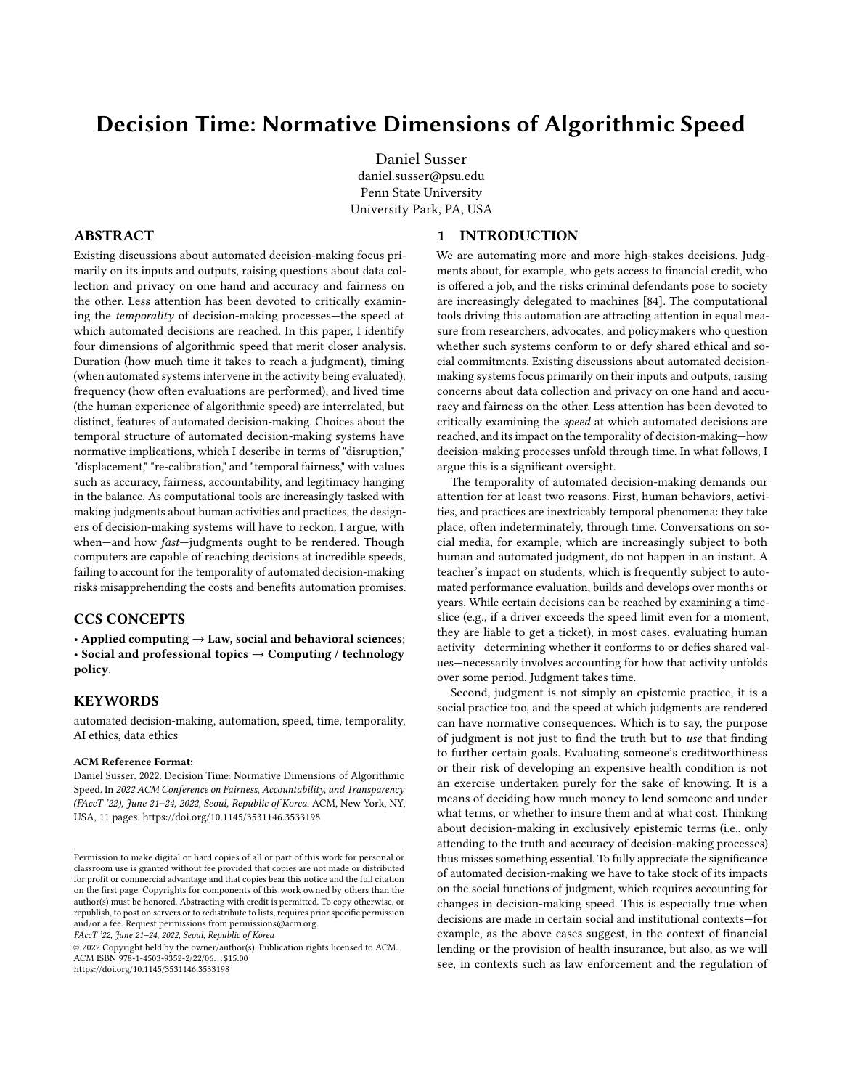# Decision Time: Normative Dimensions of Algorithmic Speed

[Daniel Susser](https://orcid.org/0000-0003-4534-6200) daniel.susser@psu.edu Penn State University University Park, PA, USA

# ABSTRACT

Existing discussions about automated decision-making focus primarily on its inputs and outputs, raising questions about data collection and privacy on one hand and accuracy and fairness on the other. Less attention has been devoted to critically examining the temporality of decision-making processes—the speed at which automated decisions are reached. In this paper, I identify four dimensions of algorithmic speed that merit closer analysis. Duration (how much time it takes to reach a judgment), timing (when automated systems intervene in the activity being evaluated), frequency (how often evaluations are performed), and lived time (the human experience of algorithmic speed) are interrelated, but distinct, features of automated decision-making. Choices about the temporal structure of automated decision-making systems have normative implications, which I describe in terms of "disruption," "displacement," "re-calibration," and "temporal fairness," with values such as accuracy, fairness, accountability, and legitimacy hanging in the balance. As computational tools are increasingly tasked with making judgments about human activities and practices, the designers of decision-making systems will have to reckon, I argue, with when-and how fast-judgments ought to be rendered. Though computers are capable of reaching decisions at incredible speeds, failing to account for the temporality of automated decision-making risks misapprehending the costs and benefits automation promises.

# CCS CONCEPTS

• Applied computing  $\rightarrow$  Law, social and behavioral sciences; • Social and professional topics  $\rightarrow$  Computing / technology policy.

## **KEYWORDS**

automated decision-making, automation, speed, time, temporality, AI ethics, data ethics

#### ACM Reference Format:

Daniel Susser. 2022. Decision Time: Normative Dimensions of Algorithmic Speed. In 2022 ACM Conference on Fairness, Accountability, and Transparency (FAccT '22), June 21–24, 2022, Seoul, Republic of Korea. ACM, New York, NY, USA, [11](#page-10-0) pages.<https://doi.org/10.1145/3531146.3533198>

FAccT '22, June 21–24, 2022, Seoul, Republic of Korea

© 2022 Copyright held by the owner/author(s). Publication rights licensed to ACM. ACM ISBN 978-1-4503-9352-2/22/06. . . \$15.00 <https://doi.org/10.1145/3531146.3533198>

# 1 INTRODUCTION

We are automating more and more high-stakes decisions. Judgments about, for example, who gets access to financial credit, who is offered a job, and the risks criminal defendants pose to society are increasingly delegated to machines [\[84\]](#page-10-1). The computational tools driving this automation are attracting attention in equal measure from researchers, advocates, and policymakers who question whether such systems conform to or defy shared ethical and social commitments. Existing discussions about automated decisionmaking systems focus primarily on their inputs and outputs, raising concerns about data collection and privacy on one hand and accuracy and fairness on the other. Less attention has been devoted to critically examining the speed at which automated decisions are reached, and its impact on the temporality of decision-making—how decision-making processes unfold through time. In what follows, I argue this is a significant oversight.

The temporality of automated decision-making demands our attention for at least two reasons. First, human behaviors, activities, and practices are inextricably temporal phenomena: they take place, often indeterminately, through time. Conversations on social media, for example, which are increasingly subject to both human and automated judgment, do not happen in an instant. A teacher's impact on students, which is frequently subject to automated performance evaluation, builds and develops over months or years. While certain decisions can be reached by examining a timeslice (e.g., if a driver exceeds the speed limit even for a moment, they are liable to get a ticket), in most cases, evaluating human activity—determining whether it conforms to or defies shared values—necessarily involves accounting for how that activity unfolds over some period. Judgment takes time.

Second, judgment is not simply an epistemic practice, it is a social practice too, and the speed at which judgments are rendered can have normative consequences. Which is to say, the purpose of judgment is not just to find the truth but to use that finding to further certain goals. Evaluating someone's creditworthiness or their risk of developing an expensive health condition is not an exercise undertaken purely for the sake of knowing. It is a means of deciding how much money to lend someone and under what terms, or whether to insure them and at what cost. Thinking about decision-making in exclusively epistemic terms (i.e., only attending to the truth and accuracy of decision-making processes) thus misses something essential. To fully appreciate the significance of automated decision-making we have to take stock of its impacts on the social functions of judgment, which requires accounting for changes in decision-making speed. This is especially true when decisions are made in certain social and institutional contexts—for example, as the above cases suggest, in the context of financial lending or the provision of health insurance, but also, as we will see, in contexts such as law enforcement and the regulation of

Permission to make digital or hard copies of all or part of this work for personal or classroom use is granted without fee provided that copies are not made or distributed for profit or commercial advantage and that copies bear this notice and the full citation on the first page. Copyrights for components of this work owned by others than the author(s) must be honored. Abstracting with credit is permitted. To copy otherwise, or republish, to post on servers or to redistribute to lists, requires prior specific permission and/or a fee. Request permissions from permissions@acm.org.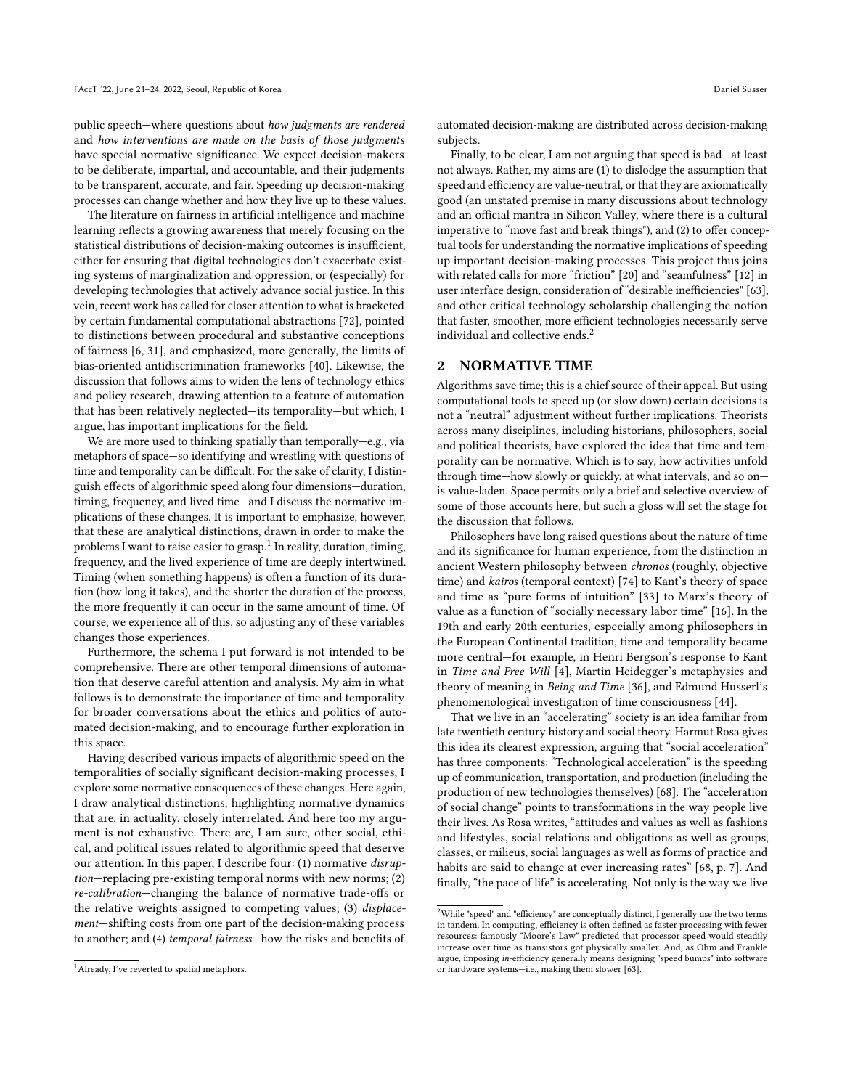public speech—where questions about how judgments are rendered and how interventions are made on the basis of those judgments have special normative significance. We expect decision-makers to be deliberate, impartial, and accountable, and their judgments to be transparent, accurate, and fair. Speeding up decision-making processes can change whether and how they live up to these values.

The literature on fairness in artificial intelligence and machine learning reflects a growing awareness that merely focusing on the statistical distributions of decision-making outcomes is insufficient, either for ensuring that digital technologies don't exacerbate existing systems of marginalization and oppression, or (especially) for developing technologies that actively advance social justice. In this vein, recent work has called for closer attention to what is bracketed by certain fundamental computational abstractions [\[72\]](#page-10-2), pointed to distinctions between procedural and substantive conceptions of fairness [\[6,](#page-9-0) [31\]](#page-9-1), and emphasized, more generally, the limits of bias-oriented antidiscrimination frameworks [\[40\]](#page-10-3). Likewise, the discussion that follows aims to widen the lens of technology ethics and policy research, drawing attention to a feature of automation that has been relatively neglected—its temporality—but which, I argue, has important implications for the field.

We are more used to thinking spatially than temporally—e.g., via metaphors of space—so identifying and wrestling with questions of time and temporality can be difficult. For the sake of clarity, I distinguish effects of algorithmic speed along four dimensions—duration, timing, frequency, and lived time—and I discuss the normative implications of these changes. It is important to emphasize, however, that these are analytical distinctions, drawn in order to make the problems I want to raise easier to grasp. $^1$  $^1$  In reality, duration, timing, frequency, and the lived experience of time are deeply intertwined. Timing (when something happens) is often a function of its duration (how long it takes), and the shorter the duration of the process, the more frequently it can occur in the same amount of time. Of course, we experience all of this, so adjusting any of these variables changes those experiences.

Furthermore, the schema I put forward is not intended to be comprehensive. There are other temporal dimensions of automation that deserve careful attention and analysis. My aim in what follows is to demonstrate the importance of time and temporality for broader conversations about the ethics and politics of automated decision-making, and to encourage further exploration in this space.

Having described various impacts of algorithmic speed on the temporalities of socially significant decision-making processes, I explore some normative consequences of these changes. Here again, I draw analytical distinctions, highlighting normative dynamics that are, in actuality, closely interrelated. And here too my argument is not exhaustive. There are, I am sure, other social, ethical, and political issues related to algorithmic speed that deserve our attention. In this paper, I describe four: (1) normative disruption—replacing pre-existing temporal norms with new norms; (2) re-calibration—changing the balance of normative trade-offs or the relative weights assigned to competing values; (3) displacement—shifting costs from one part of the decision-making process to another; and (4) temporal fairness—how the risks and benefits of

automated decision-making are distributed across decision-making subjects.

Finally, to be clear, I am not arguing that speed is bad—at least not always. Rather, my aims are (1) to dislodge the assumption that speed and efficiency are value-neutral, or that they are axiomatically good (an unstated premise in many discussions about technology and an official mantra in Silicon Valley, where there is a cultural imperative to "move fast and break things"), and (2) to offer conceptual tools for understanding the normative implications of speeding up important decision-making processes. This project thus joins with related calls for more "friction" [\[20\]](#page-9-2) and "seamfulness" [\[12\]](#page-9-3) in user interface design, consideration of "desirable inefficiencies" [\[63\]](#page-10-4), and other critical technology scholarship challenging the notion that faster, smoother, more efficient technologies necessarily serve individual and collective ends.<sup>[2](#page-1-1)</sup>

## 2 NORMATIVE TIME

Algorithms save time; this is a chief source of their appeal. But using computational tools to speed up (or slow down) certain decisions is not a "neutral" adjustment without further implications. Theorists across many disciplines, including historians, philosophers, social and political theorists, have explored the idea that time and temporality can be normative. Which is to say, how activities unfold through time—how slowly or quickly, at what intervals, and so on is value-laden. Space permits only a brief and selective overview of some of those accounts here, but such a gloss will set the stage for the discussion that follows.

Philosophers have long raised questions about the nature of time and its significance for human experience, from the distinction in ancient Western philosophy between chronos (roughly, objective time) and kairos (temporal context) [\[74\]](#page-10-5) to Kant's theory of space and time as "pure forms of intuition" [\[33\]](#page-9-4) to Marx's theory of value as a function of "socially necessary labor time" [\[16\]](#page-9-5). In the 19th and early 20th centuries, especially among philosophers in the European Continental tradition, time and temporality became more central—for example, in Henri Bergson's response to Kant in Time and Free Will [\[4\]](#page-9-6), Martin Heidegger's metaphysics and theory of meaning in Being and Time [\[36\]](#page-9-7), and Edmund Husserl's phenomenological investigation of time consciousness [\[44\]](#page-10-6).

That we live in an "accelerating" society is an idea familiar from late twentieth century history and social theory. Harmut Rosa gives this idea its clearest expression, arguing that "social acceleration" has three components: "Technological acceleration" is the speeding up of communication, transportation, and production (including the production of new technologies themselves) [\[68\]](#page-10-7). The "acceleration of social change" points to transformations in the way people live their lives. As Rosa writes, "attitudes and values as well as fashions and lifestyles, social relations and obligations as well as groups, classes, or milieus, social languages as well as forms of practice and habits are said to change at ever increasing rates" [\[68,](#page-10-7) p. 7]. And finally, "the pace of life" is accelerating. Not only is the way we live

<span id="page-1-0"></span><sup>&</sup>lt;sup>1</sup> Already, I've reverted to spatial metaphors.

<span id="page-1-1"></span> $^2\rm{While}$  "speed" and "efficiency" are conceptually distinct, I generally use the two terms in tandem. In computing, efficiency is often defined as faster processing with fewer resources: famously "Moore's Law" predicted that processor speed would steadily increase over time as transistors got physically smaller. And, as Ohm and Frankle argue, imposing in-efficiency generally means designing "speed bumps" into software or hardware systems—i.e., making them slower [\[63\]](#page-10-4).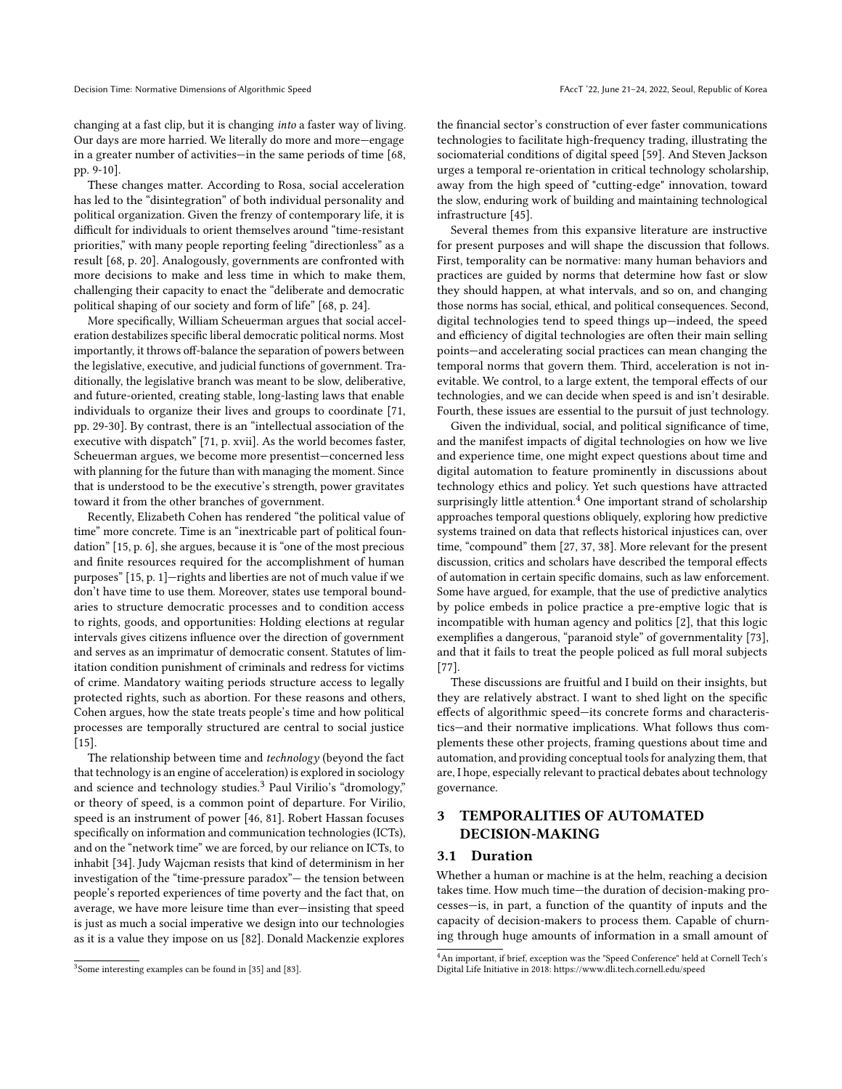changing at a fast clip, but it is changing into a faster way of living. Our days are more harried. We literally do more and more—engage in a greater number of activities—in the same periods of time [\[68,](#page-10-7) pp. 9-10].

These changes matter. According to Rosa, social acceleration has led to the "disintegration" of both individual personality and political organization. Given the frenzy of contemporary life, it is difficult for individuals to orient themselves around "time-resistant priorities," with many people reporting feeling "directionless" as a result [\[68,](#page-10-7) p. 20]. Analogously, governments are confronted with more decisions to make and less time in which to make them, challenging their capacity to enact the "deliberate and democratic political shaping of our society and form of life" [\[68,](#page-10-7) p. 24].

More specifically, William Scheuerman argues that social acceleration destabilizes specific liberal democratic political norms. Most importantly, it throws off-balance the separation of powers between the legislative, executive, and judicial functions of government. Traditionally, the legislative branch was meant to be slow, deliberative, and future-oriented, creating stable, long-lasting laws that enable individuals to organize their lives and groups to coordinate [\[71,](#page-10-8) pp. 29-30]. By contrast, there is an "intellectual association of the executive with dispatch" [\[71,](#page-10-8) p. xvii]. As the world becomes faster, Scheuerman argues, we become more presentist—concerned less with planning for the future than with managing the moment. Since that is understood to be the executive's strength, power gravitates toward it from the other branches of government.

Recently, Elizabeth Cohen has rendered "the political value of time" more concrete. Time is an "inextricable part of political foundation" [\[15,](#page-9-8) p. 6], she argues, because it is "one of the most precious and finite resources required for the accomplishment of human purposes" [\[15,](#page-9-8) p. 1]—rights and liberties are not of much value if we don't have time to use them. Moreover, states use temporal boundaries to structure democratic processes and to condition access to rights, goods, and opportunities: Holding elections at regular intervals gives citizens influence over the direction of government and serves as an imprimatur of democratic consent. Statutes of limitation condition punishment of criminals and redress for victims of crime. Mandatory waiting periods structure access to legally protected rights, such as abortion. For these reasons and others, Cohen argues, how the state treats people's time and how political processes are temporally structured are central to social justice  $[15]$ .

The relationship between time and technology (beyond the fact that technology is an engine of acceleration) is explored in sociology and science and technology studies.<sup>[3](#page-2-0)</sup> Paul Virilio's "dromology," or theory of speed, is a common point of departure. For Virilio, speed is an instrument of power [\[46,](#page-10-9) [81\]](#page-10-10). Robert Hassan focuses specifically on information and communication technologies (ICTs), and on the "network time" we are forced, by our reliance on ICTs, to inhabit [\[34\]](#page-9-9). Judy Wajcman resists that kind of determinism in her investigation of the "time-pressure paradox"— the tension between people's reported experiences of time poverty and the fact that, on average, we have more leisure time than ever—insisting that speed is just as much a social imperative we design into our technologies as it is a value they impose on us [\[82\]](#page-10-11). Donald Mackenzie explores

the financial sector's construction of ever faster communications technologies to facilitate high-frequency trading, illustrating the sociomaterial conditions of digital speed [\[59\]](#page-10-13). And Steven Jackson urges a temporal re-orientation in critical technology scholarship, away from the high speed of "cutting-edge" innovation, toward the slow, enduring work of building and maintaining technological infrastructure [\[45\]](#page-10-14).

Several themes from this expansive literature are instructive for present purposes and will shape the discussion that follows. First, temporality can be normative: many human behaviors and practices are guided by norms that determine how fast or slow they should happen, at what intervals, and so on, and changing those norms has social, ethical, and political consequences. Second, digital technologies tend to speed things up—indeed, the speed and efficiency of digital technologies are often their main selling points—and accelerating social practices can mean changing the temporal norms that govern them. Third, acceleration is not inevitable. We control, to a large extent, the temporal effects of our technologies, and we can decide when speed is and isn't desirable. Fourth, these issues are essential to the pursuit of just technology.

Given the individual, social, and political significance of time, and the manifest impacts of digital technologies on how we live and experience time, one might expect questions about time and digital automation to feature prominently in discussions about technology ethics and policy. Yet such questions have attracted surprisingly little attention.<sup>[4](#page-2-1)</sup> One important strand of scholarship approaches temporal questions obliquely, exploring how predictive systems trained on data that reflects historical injustices can, over time, "compound" them [\[27,](#page-9-11) [37,](#page-9-12) [38\]](#page-10-15). More relevant for the present discussion, critics and scholars have described the temporal effects of automation in certain specific domains, such as law enforcement. Some have argued, for example, that the use of predictive analytics by police embeds in police practice a pre-emptive logic that is incompatible with human agency and politics [\[2\]](#page-9-13), that this logic exemplifies a dangerous, "paranoid style" of governmentality [\[73\]](#page-10-16), and that it fails to treat the people policed as full moral subjects [\[77\]](#page-10-17).

These discussions are fruitful and I build on their insights, but they are relatively abstract. I want to shed light on the specific effects of algorithmic speed—its concrete forms and characteristics—and their normative implications. What follows thus complements these other projects, framing questions about time and automation, and providing conceptual tools for analyzing them, that are, I hope, especially relevant to practical debates about technology governance.

# 3 TEMPORALITIES OF AUTOMATED DECISION-MAKING

#### 3.1 Duration

Whether a human or machine is at the helm, reaching a decision takes time. How much time—the duration of decision-making processes—is, in part, a function of the quantity of inputs and the capacity of decision-makers to process them. Capable of churning through huge amounts of information in a small amount of

<span id="page-2-0"></span><sup>&</sup>lt;sup>3</sup> Some interesting examples can be found in [\[35\]](#page-9-10) and [\[83\]](#page-10-12).

<span id="page-2-1"></span><sup>4</sup>An important, if brief, exception was the "Speed Conference" held at Cornell Tech's Digital Life Initiative in 2018:<https://www.dli.tech.cornell.edu/speed>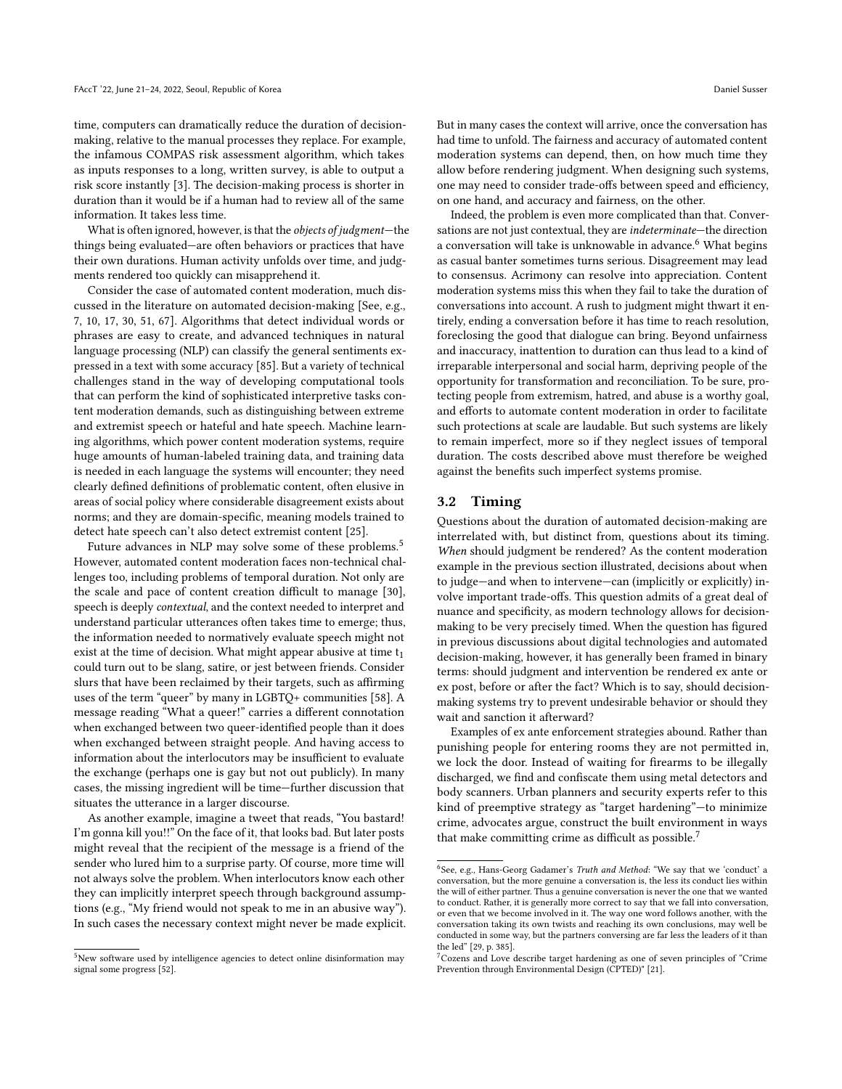time, computers can dramatically reduce the duration of decisionmaking, relative to the manual processes they replace. For example, the infamous COMPAS risk assessment algorithm, which takes as inputs responses to a long, written survey, is able to output a risk score instantly [\[3\]](#page-9-14). The decision-making process is shorter in duration than it would be if a human had to review all of the same information. It takes less time.

What is often ignored, however, is that the objects of judgment—the things being evaluated—are often behaviors or practices that have their own durations. Human activity unfolds over time, and judgments rendered too quickly can misapprehend it.

Consider the case of automated content moderation, much discussed in the literature on automated decision-making [See, e.g., [7,](#page-9-15) [10,](#page-9-16) [17,](#page-9-17) [30,](#page-9-18) [51,](#page-10-18) [67\]](#page-10-19). Algorithms that detect individual words or phrases are easy to create, and advanced techniques in natural language processing (NLP) can classify the general sentiments expressed in a text with some accuracy [\[85\]](#page-10-20). But a variety of technical challenges stand in the way of developing computational tools that can perform the kind of sophisticated interpretive tasks content moderation demands, such as distinguishing between extreme and extremist speech or hateful and hate speech. Machine learning algorithms, which power content moderation systems, require huge amounts of human-labeled training data, and training data is needed in each language the systems will encounter; they need clearly defined definitions of problematic content, often elusive in areas of social policy where considerable disagreement exists about norms; and they are domain-specific, meaning models trained to detect hate speech can't also detect extremist content [\[25\]](#page-9-19).

Future advances in NLP may solve some of these problems.<sup>[5](#page-3-0)</sup> However, automated content moderation faces non-technical challenges too, including problems of temporal duration. Not only are the scale and pace of content creation difficult to manage [\[30\]](#page-9-18), speech is deeply contextual, and the context needed to interpret and understand particular utterances often takes time to emerge; thus, the information needed to normatively evaluate speech might not exist at the time of decision. What might appear abusive at time  $t_1$ could turn out to be slang, satire, or jest between friends. Consider slurs that have been reclaimed by their targets, such as affirming uses of the term "queer" by many in LGBTQ+ communities [\[58\]](#page-10-21). A message reading "What a queer!" carries a different connotation when exchanged between two queer-identified people than it does when exchanged between straight people. And having access to information about the interlocutors may be insufficient to evaluate the exchange (perhaps one is gay but not out publicly). In many cases, the missing ingredient will be time—further discussion that situates the utterance in a larger discourse.

As another example, imagine a tweet that reads, "You bastard! I'm gonna kill you!!" On the face of it, that looks bad. But later posts might reveal that the recipient of the message is a friend of the sender who lured him to a surprise party. Of course, more time will not always solve the problem. When interlocutors know each other they can implicitly interpret speech through background assumptions (e.g., "My friend would not speak to me in an abusive way"). In such cases the necessary context might never be made explicit.

But in many cases the context will arrive, once the conversation has had time to unfold. The fairness and accuracy of automated content moderation systems can depend, then, on how much time they allow before rendering judgment. When designing such systems, one may need to consider trade-offs between speed and efficiency, on one hand, and accuracy and fairness, on the other.

Indeed, the problem is even more complicated than that. Conversations are not just contextual, they are indeterminate—the direction a conversation will take is unknowable in advance.<sup>[6](#page-3-1)</sup> What begins as casual banter sometimes turns serious. Disagreement may lead to consensus. Acrimony can resolve into appreciation. Content moderation systems miss this when they fail to take the duration of conversations into account. A rush to judgment might thwart it entirely, ending a conversation before it has time to reach resolution, foreclosing the good that dialogue can bring. Beyond unfairness and inaccuracy, inattention to duration can thus lead to a kind of irreparable interpersonal and social harm, depriving people of the opportunity for transformation and reconciliation. To be sure, protecting people from extremism, hatred, and abuse is a worthy goal, and efforts to automate content moderation in order to facilitate such protections at scale are laudable. But such systems are likely to remain imperfect, more so if they neglect issues of temporal duration. The costs described above must therefore be weighed against the benefits such imperfect systems promise.

## 3.2 Timing

Questions about the duration of automated decision-making are interrelated with, but distinct from, questions about its timing. When should judgment be rendered? As the content moderation example in the previous section illustrated, decisions about when to judge—and when to intervene—can (implicitly or explicitly) involve important trade-offs. This question admits of a great deal of nuance and specificity, as modern technology allows for decisionmaking to be very precisely timed. When the question has figured in previous discussions about digital technologies and automated decision-making, however, it has generally been framed in binary terms: should judgment and intervention be rendered ex ante or ex post, before or after the fact? Which is to say, should decisionmaking systems try to prevent undesirable behavior or should they wait and sanction it afterward?

Examples of ex ante enforcement strategies abound. Rather than punishing people for entering rooms they are not permitted in, we lock the door. Instead of waiting for firearms to be illegally discharged, we find and confiscate them using metal detectors and body scanners. Urban planners and security experts refer to this kind of preemptive strategy as "target hardening"—to minimize crime, advocates argue, construct the built environment in ways that make committing crime as difficult as possible.[7](#page-3-2)

<span id="page-3-0"></span><sup>&</sup>lt;sup>5</sup>New software used by intelligence agencies to detect online disinformation may signal some progress [\[52\]](#page-10-22).

<span id="page-3-1"></span><sup>&</sup>lt;sup>6</sup>See, e.g., Hans-Georg Gadamer's Truth and Method: "We say that we 'conduct' a conversation, but the more genuine a conversation is, the less its conduct lies within the will of either partner. Thus a genuine conversation is never the one that we wanted to conduct. Rather, it is generally more correct to say that we fall into conversation, or even that we become involved in it. The way one word follows another, with the conversation taking its own twists and reaching its own conclusions, may well be conducted in some way, but the partners conversing are far less the leaders of it than the led" [\[29,](#page-9-20) p. 385].

<span id="page-3-2"></span><sup>7</sup>Cozens and Love describe target hardening as one of seven principles of "Crime Prevention through Environmental Design (CPTED)" [\[21\]](#page-9-21).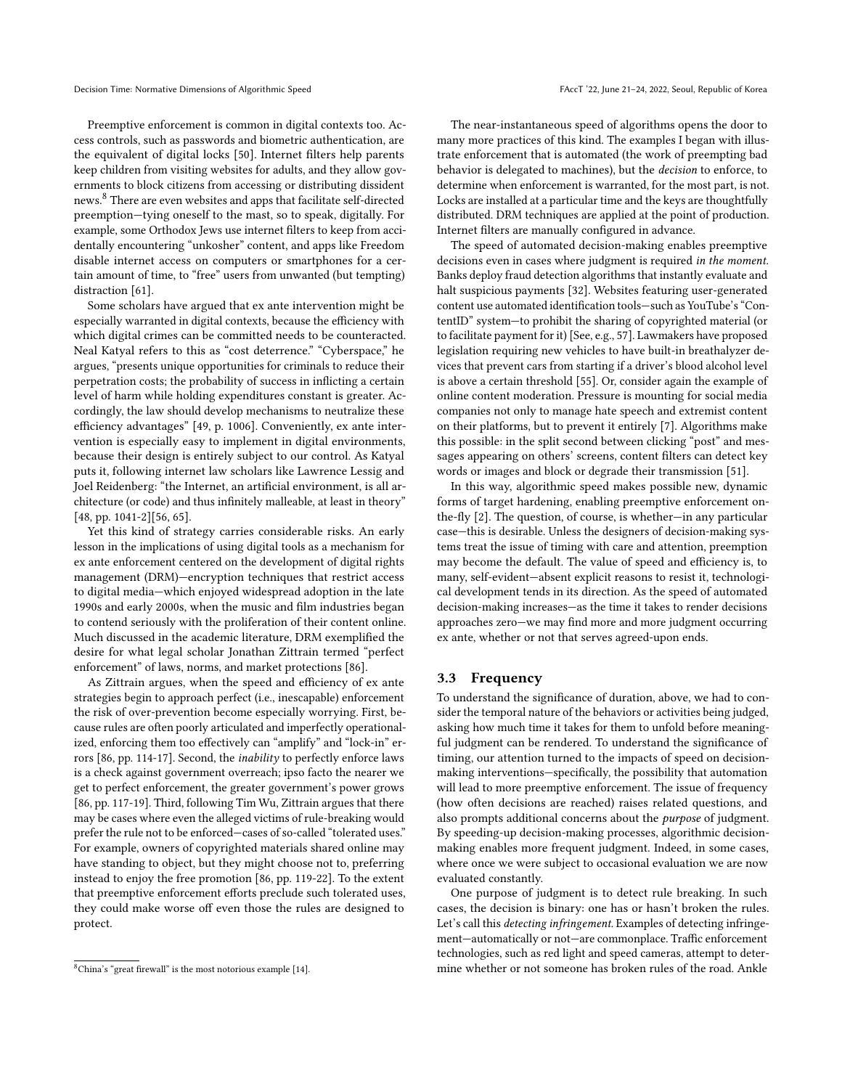Preemptive enforcement is common in digital contexts too. Access controls, such as passwords and biometric authentication, are the equivalent of digital locks [\[50\]](#page-10-23). Internet filters help parents keep children from visiting websites for adults, and they allow governments to block citizens from accessing or distributing dissident news.[8](#page-4-0) There are even websites and apps that facilitate self-directed preemption—tying oneself to the mast, so to speak, digitally. For example, some Orthodox Jews use internet filters to keep from accidentally encountering "unkosher" content, and apps like Freedom disable internet access on computers or smartphones for a certain amount of time, to "free" users from unwanted (but tempting) distraction [\[61\]](#page-10-24).

Some scholars have argued that ex ante intervention might be especially warranted in digital contexts, because the efficiency with which digital crimes can be committed needs to be counteracted. Neal Katyal refers to this as "cost deterrence." "Cyberspace," he argues, "presents unique opportunities for criminals to reduce their perpetration costs; the probability of success in inflicting a certain level of harm while holding expenditures constant is greater. Accordingly, the law should develop mechanisms to neutralize these efficiency advantages" [\[49,](#page-10-25) p. 1006]. Conveniently, ex ante intervention is especially easy to implement in digital environments, because their design is entirely subject to our control. As Katyal puts it, following internet law scholars like Lawrence Lessig and Joel Reidenberg: "the Internet, an artificial environment, is all architecture (or code) and thus infinitely malleable, at least in theory" [\[48,](#page-10-26) pp. 1041-2][\[56,](#page-10-27) [65\]](#page-10-28).

Yet this kind of strategy carries considerable risks. An early lesson in the implications of using digital tools as a mechanism for ex ante enforcement centered on the development of digital rights management (DRM)—encryption techniques that restrict access to digital media—which enjoyed widespread adoption in the late 1990s and early 2000s, when the music and film industries began to contend seriously with the proliferation of their content online. Much discussed in the academic literature, DRM exemplified the desire for what legal scholar Jonathan Zittrain termed "perfect enforcement" of laws, norms, and market protections [\[86\]](#page-10-29).

As Zittrain argues, when the speed and efficiency of ex ante strategies begin to approach perfect (i.e., inescapable) enforcement the risk of over-prevention become especially worrying. First, because rules are often poorly articulated and imperfectly operationalized, enforcing them too effectively can "amplify" and "lock-in" errors [\[86,](#page-10-29) pp. 114-17]. Second, the inability to perfectly enforce laws is a check against government overreach; ipso facto the nearer we get to perfect enforcement, the greater government's power grows [\[86,](#page-10-29) pp. 117-19]. Third, following Tim Wu, Zittrain argues that there may be cases where even the alleged victims of rule-breaking would prefer the rule not to be enforced—cases of so-called "tolerated uses." For example, owners of copyrighted materials shared online may have standing to object, but they might choose not to, preferring instead to enjoy the free promotion [\[86,](#page-10-29) pp. 119-22]. To the extent that preemptive enforcement efforts preclude such tolerated uses, they could make worse off even those the rules are designed to protect.

The near-instantaneous speed of algorithms opens the door to many more practices of this kind. The examples I began with illustrate enforcement that is automated (the work of preempting bad behavior is delegated to machines), but the decision to enforce, to determine when enforcement is warranted, for the most part, is not. Locks are installed at a particular time and the keys are thoughtfully distributed. DRM techniques are applied at the point of production. Internet filters are manually configured in advance.

The speed of automated decision-making enables preemptive decisions even in cases where judgment is required in the moment. Banks deploy fraud detection algorithms that instantly evaluate and halt suspicious payments [\[32\]](#page-9-23). Websites featuring user-generated content use automated identification tools—such as YouTube's "ContentID" system—to prohibit the sharing of copyrighted material (or to facilitate payment for it) [See, e.g., [57\]](#page-10-30). Lawmakers have proposed legislation requiring new vehicles to have built-in breathalyzer devices that prevent cars from starting if a driver's blood alcohol level is above a certain threshold [\[55\]](#page-10-31). Or, consider again the example of online content moderation. Pressure is mounting for social media companies not only to manage hate speech and extremist content on their platforms, but to prevent it entirely [\[7\]](#page-9-15). Algorithms make this possible: in the split second between clicking "post" and messages appearing on others' screens, content filters can detect key words or images and block or degrade their transmission [\[51\]](#page-10-18).

In this way, algorithmic speed makes possible new, dynamic forms of target hardening, enabling preemptive enforcement onthe-fly [\[2\]](#page-9-13). The question, of course, is whether—in any particular case—this is desirable. Unless the designers of decision-making systems treat the issue of timing with care and attention, preemption may become the default. The value of speed and efficiency is, to many, self-evident—absent explicit reasons to resist it, technological development tends in its direction. As the speed of automated decision-making increases—as the time it takes to render decisions approaches zero—we may find more and more judgment occurring ex ante, whether or not that serves agreed-upon ends.

## 3.3 Frequency

To understand the significance of duration, above, we had to consider the temporal nature of the behaviors or activities being judged, asking how much time it takes for them to unfold before meaningful judgment can be rendered. To understand the significance of timing, our attention turned to the impacts of speed on decisionmaking interventions—specifically, the possibility that automation will lead to more preemptive enforcement. The issue of frequency (how often decisions are reached) raises related questions, and also prompts additional concerns about the purpose of judgment. By speeding-up decision-making processes, algorithmic decisionmaking enables more frequent judgment. Indeed, in some cases, where once we were subject to occasional evaluation we are now evaluated constantly.

One purpose of judgment is to detect rule breaking. In such cases, the decision is binary: one has or hasn't broken the rules. Let's call this detecting infringement. Examples of detecting infringement—automatically or not—are commonplace. Traffic enforcement technologies, such as red light and speed cameras, attempt to determine whether or not someone has broken rules of the road. Ankle

<span id="page-4-0"></span><sup>8</sup>China's "great firewall" is the most notorious example [\[14\]](#page-9-22).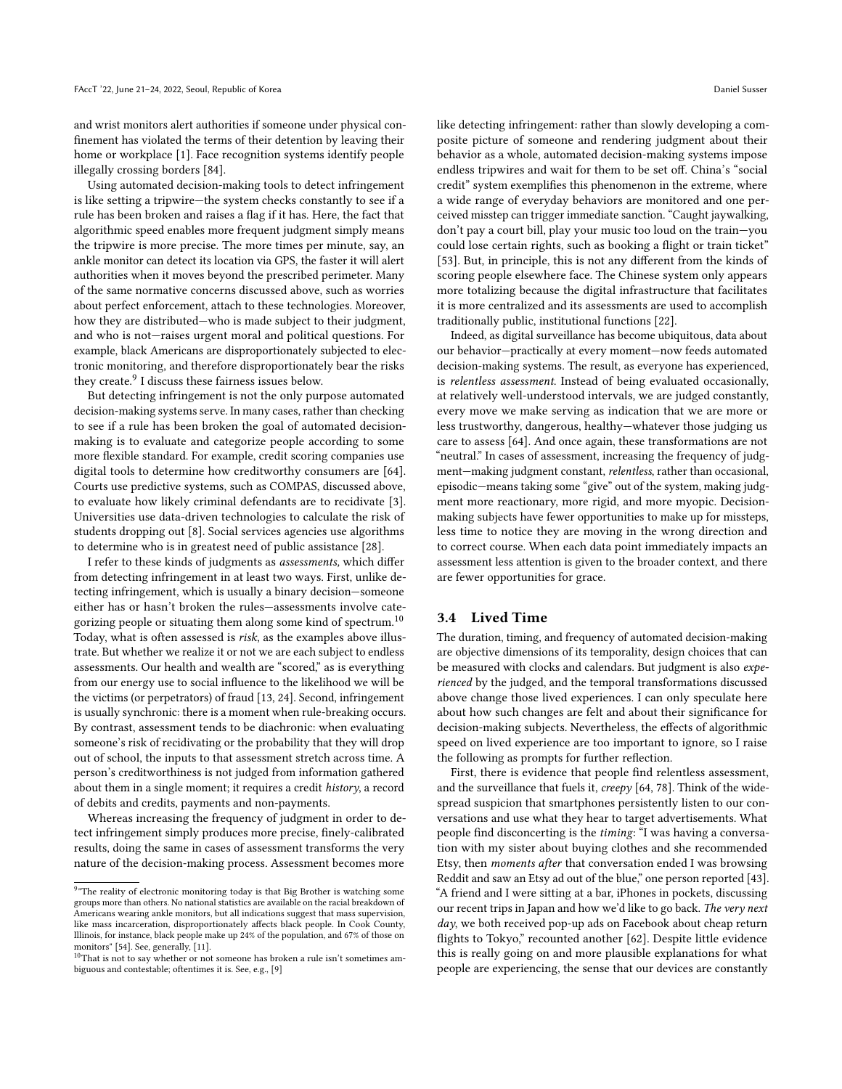and wrist monitors alert authorities if someone under physical confinement has violated the terms of their detention by leaving their home or workplace [\[1\]](#page-9-24). Face recognition systems identify people illegally crossing borders [\[84\]](#page-10-1).

Using automated decision-making tools to detect infringement is like setting a tripwire—the system checks constantly to see if a rule has been broken and raises a flag if it has. Here, the fact that algorithmic speed enables more frequent judgment simply means the tripwire is more precise. The more times per minute, say, an ankle monitor can detect its location via GPS, the faster it will alert authorities when it moves beyond the prescribed perimeter. Many of the same normative concerns discussed above, such as worries about perfect enforcement, attach to these technologies. Moreover, how they are distributed—who is made subject to their judgment, and who is not—raises urgent moral and political questions. For example, black Americans are disproportionately subjected to electronic monitoring, and therefore disproportionately bear the risks they create.<sup>[9](#page-5-0)</sup> I discuss these fairness issues below.

But detecting infringement is not the only purpose automated decision-making systems serve. In many cases, rather than checking to see if a rule has been broken the goal of automated decisionmaking is to evaluate and categorize people according to some more flexible standard. For example, credit scoring companies use digital tools to determine how creditworthy consumers are [\[64\]](#page-10-32). Courts use predictive systems, such as COMPAS, discussed above, to evaluate how likely criminal defendants are to recidivate [\[3\]](#page-9-14). Universities use data-driven technologies to calculate the risk of students dropping out [\[8\]](#page-9-25). Social services agencies use algorithms to determine who is in greatest need of public assistance [\[28\]](#page-9-26).

I refer to these kinds of judgments as assessments, which differ from detecting infringement in at least two ways. First, unlike detecting infringement, which is usually a binary decision—someone either has or hasn't broken the rules—assessments involve cate-gorizing people or situating them along some kind of spectrum.<sup>[10](#page-5-1)</sup> Today, what is often assessed is risk, as the examples above illustrate. But whether we realize it or not we are each subject to endless assessments. Our health and wealth are "scored," as is everything from our energy use to social influence to the likelihood we will be the victims (or perpetrators) of fraud [\[13,](#page-9-27) [24\]](#page-9-28). Second, infringement is usually synchronic: there is a moment when rule-breaking occurs. By contrast, assessment tends to be diachronic: when evaluating someone's risk of recidivating or the probability that they will drop out of school, the inputs to that assessment stretch across time. A person's creditworthiness is not judged from information gathered about them in a single moment; it requires a credit history, a record of debits and credits, payments and non-payments.

Whereas increasing the frequency of judgment in order to detect infringement simply produces more precise, finely-calibrated results, doing the same in cases of assessment transforms the very nature of the decision-making process. Assessment becomes more

like detecting infringement: rather than slowly developing a composite picture of someone and rendering judgment about their behavior as a whole, automated decision-making systems impose endless tripwires and wait for them to be set off. China's "social credit" system exemplifies this phenomenon in the extreme, where a wide range of everyday behaviors are monitored and one perceived misstep can trigger immediate sanction. "Caught jaywalking, don't pay a court bill, play your music too loud on the train—you could lose certain rights, such as booking a flight or train ticket" [\[53\]](#page-10-34). But, in principle, this is not any different from the kinds of scoring people elsewhere face. The Chinese system only appears more totalizing because the digital infrastructure that facilitates it is more centralized and its assessments are used to accomplish traditionally public, institutional functions [\[22\]](#page-9-31).

Indeed, as digital surveillance has become ubiquitous, data about our behavior—practically at every moment—now feeds automated decision-making systems. The result, as everyone has experienced, is relentless assessment. Instead of being evaluated occasionally, at relatively well-understood intervals, we are judged constantly, every move we make serving as indication that we are more or less trustworthy, dangerous, healthy—whatever those judging us care to assess [\[64\]](#page-10-32). And once again, these transformations are not "neutral." In cases of assessment, increasing the frequency of judgment—making judgment constant, relentless, rather than occasional, episodic—means taking some "give" out of the system, making judgment more reactionary, more rigid, and more myopic. Decisionmaking subjects have fewer opportunities to make up for missteps, less time to notice they are moving in the wrong direction and to correct course. When each data point immediately impacts an assessment less attention is given to the broader context, and there are fewer opportunities for grace.

#### 3.4 Lived Time

The duration, timing, and frequency of automated decision-making are objective dimensions of its temporality, design choices that can be measured with clocks and calendars. But judgment is also experienced by the judged, and the temporal transformations discussed above change those lived experiences. I can only speculate here about how such changes are felt and about their significance for decision-making subjects. Nevertheless, the effects of algorithmic speed on lived experience are too important to ignore, so I raise the following as prompts for further reflection.

First, there is evidence that people find relentless assessment, and the surveillance that fuels it, creepy [\[64,](#page-10-32) [78\]](#page-10-35). Think of the widespread suspicion that smartphones persistently listen to our conversations and use what they hear to target advertisements. What people find disconcerting is the timing: "I was having a conversation with my sister about buying clothes and she recommended Etsy, then moments after that conversation ended I was browsing Reddit and saw an Etsy ad out of the blue," one person reported [\[43\]](#page-10-36). "A friend and I were sitting at a bar, iPhones in pockets, discussing our recent trips in Japan and how we'd like to go back. The very next day, we both received pop-up ads on Facebook about cheap return flights to Tokyo," recounted another [\[62\]](#page-10-37). Despite little evidence this is really going on and more plausible explanations for what people are experiencing, the sense that our devices are constantly

<span id="page-5-0"></span><sup>&</sup>lt;sup>9</sup> "The reality of electronic monitoring today is that Big Brother is watching some groups more than others. No national statistics are available on the racial breakdown of Americans wearing ankle monitors, but all indications suggest that mass supervision, like mass incarceration, disproportionately affects black people. In Cook County, Illinois, for instance, black people make up 24% of the population, and 67% of those on monitors" [\[54\]](#page-10-33). See, generally, [\[11\]](#page-9-29).

<span id="page-5-1"></span> $10$ That is not to say whether or not someone has broken a rule isn't sometimes ambiguous and contestable; oftentimes it is. See, e.g., [\[9\]](#page-9-30)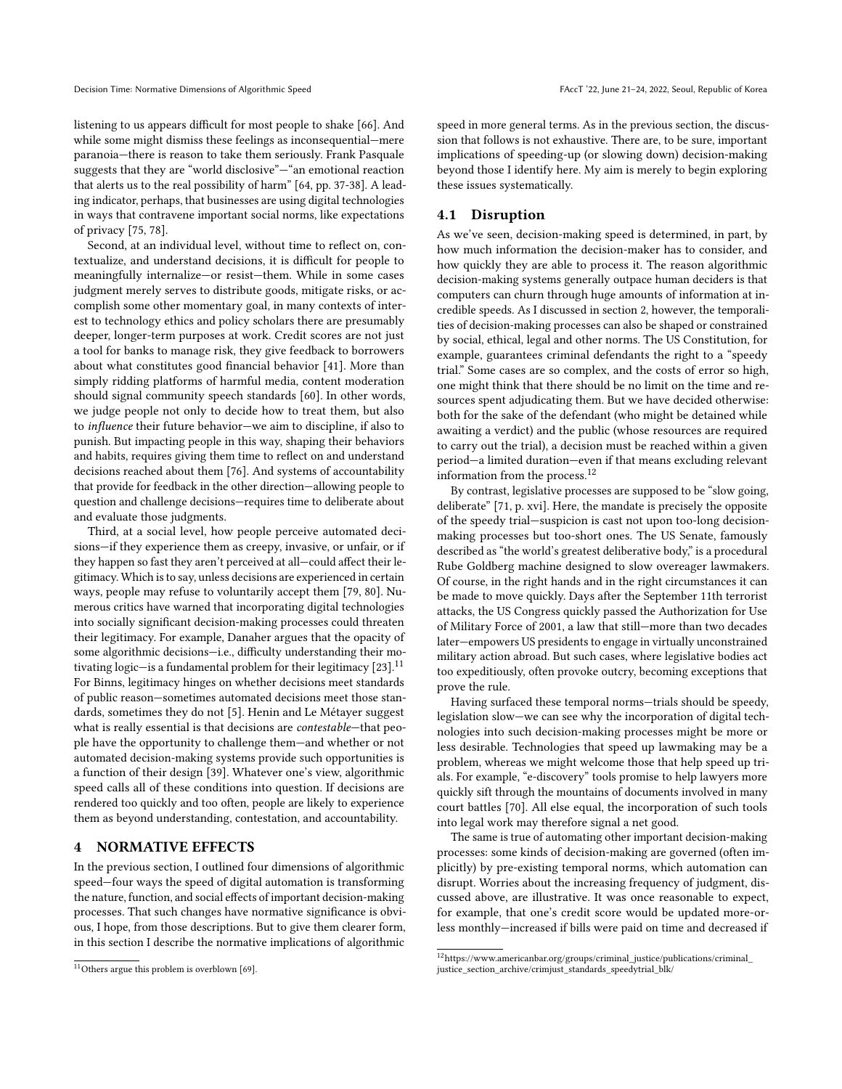listening to us appears difficult for most people to shake [\[66\]](#page-10-38). And while some might dismiss these feelings as inconsequential—mere paranoia—there is reason to take them seriously. Frank Pasquale suggests that they are "world disclosive"—"an emotional reaction that alerts us to the real possibility of harm" [\[64,](#page-10-32) pp. 37-38]. A leading indicator, perhaps, that businesses are using digital technologies in ways that contravene important social norms, like expectations of privacy [\[75,](#page-10-39) [78\]](#page-10-35).

Second, at an individual level, without time to reflect on, contextualize, and understand decisions, it is difficult for people to meaningfully internalize—or resist—them. While in some cases judgment merely serves to distribute goods, mitigate risks, or accomplish some other momentary goal, in many contexts of interest to technology ethics and policy scholars there are presumably deeper, longer-term purposes at work. Credit scores are not just a tool for banks to manage risk, they give feedback to borrowers about what constitutes good financial behavior [\[41\]](#page-10-40). More than simply ridding platforms of harmful media, content moderation should signal community speech standards [\[60\]](#page-10-41). In other words, we judge people not only to decide how to treat them, but also to influence their future behavior—we aim to discipline, if also to punish. But impacting people in this way, shaping their behaviors and habits, requires giving them time to reflect on and understand decisions reached about them [\[76\]](#page-10-42). And systems of accountability that provide for feedback in the other direction—allowing people to question and challenge decisions—requires time to deliberate about and evaluate those judgments.

Third, at a social level, how people perceive automated decisions—if they experience them as creepy, invasive, or unfair, or if they happen so fast they aren't perceived at all—could affect their legitimacy. Which is to say, unless decisions are experienced in certain ways, people may refuse to voluntarily accept them [\[79,](#page-10-43) [80\]](#page-10-44). Numerous critics have warned that incorporating digital technologies into socially significant decision-making processes could threaten their legitimacy. For example, Danaher argues that the opacity of some algorithmic decisions—i.e., difficulty understanding their motivating logic—is a fundamental problem for their legitimacy  $[23]$ .<sup>[11](#page-6-0)</sup> For Binns, legitimacy hinges on whether decisions meet standards of public reason—sometimes automated decisions meet those standards, sometimes they do not [\[5\]](#page-9-33). Henin and Le Métayer suggest what is really essential is that decisions are contestable—that people have the opportunity to challenge them—and whether or not automated decision-making systems provide such opportunities is a function of their design [\[39\]](#page-10-45). Whatever one's view, algorithmic speed calls all of these conditions into question. If decisions are rendered too quickly and too often, people are likely to experience them as beyond understanding, contestation, and accountability.

# 4 NORMATIVE EFFECTS

In the previous section, I outlined four dimensions of algorithmic speed—four ways the speed of digital automation is transforming the nature, function, and social effects of important decision-making processes. That such changes have normative significance is obvious, I hope, from those descriptions. But to give them clearer form, in this section I describe the normative implications of algorithmic

speed in more general terms. As in the previous section, the discussion that follows is not exhaustive. There are, to be sure, important implications of speeding-up (or slowing down) decision-making beyond those I identify here. My aim is merely to begin exploring these issues systematically.

# 4.1 Disruption

As we've seen, decision-making speed is determined, in part, by how much information the decision-maker has to consider, and how quickly they are able to process it. The reason algorithmic decision-making systems generally outpace human deciders is that computers can churn through huge amounts of information at incredible speeds. As I discussed in section 2, however, the temporalities of decision-making processes can also be shaped or constrained by social, ethical, legal and other norms. The US Constitution, for example, guarantees criminal defendants the right to a "speedy trial." Some cases are so complex, and the costs of error so high, one might think that there should be no limit on the time and resources spent adjudicating them. But we have decided otherwise: both for the sake of the defendant (who might be detained while awaiting a verdict) and the public (whose resources are required to carry out the trial), a decision must be reached within a given period—a limited duration—even if that means excluding relevant information from the process.[12](#page-6-1)

By contrast, legislative processes are supposed to be "slow going, deliberate" [\[71,](#page-10-8) p. xvi]. Here, the mandate is precisely the opposite of the speedy trial—suspicion is cast not upon too-long decisionmaking processes but too-short ones. The US Senate, famously described as "the world's greatest deliberative body," is a procedural Rube Goldberg machine designed to slow overeager lawmakers. Of course, in the right hands and in the right circumstances it can be made to move quickly. Days after the September 11th terrorist attacks, the US Congress quickly passed the Authorization for Use of Military Force of 2001, a law that still—more than two decades later—empowers US presidents to engage in virtually unconstrained military action abroad. But such cases, where legislative bodies act too expeditiously, often provoke outcry, becoming exceptions that prove the rule.

Having surfaced these temporal norms—trials should be speedy, legislation slow—we can see why the incorporation of digital technologies into such decision-making processes might be more or less desirable. Technologies that speed up lawmaking may be a problem, whereas we might welcome those that help speed up trials. For example, "e-discovery" tools promise to help lawyers more quickly sift through the mountains of documents involved in many court battles [\[70\]](#page-10-47). All else equal, the incorporation of such tools into legal work may therefore signal a net good.

The same is true of automating other important decision-making processes: some kinds of decision-making are governed (often implicitly) by pre-existing temporal norms, which automation can disrupt. Worries about the increasing frequency of judgment, discussed above, are illustrative. It was once reasonable to expect, for example, that one's credit score would be updated more-orless monthly—increased if bills were paid on time and decreased if

<span id="page-6-0"></span><sup>11</sup>Others argue this problem is overblown [\[69\]](#page-10-46).

<span id="page-6-1"></span> $^{12}{\rm https://www.americanbar.org/groups/criminal\_justice/publications/criminal\_$ [justice\\_section\\_archive/crimjust\\_standards\\_speedytrial\\_blk/](https://www.americanbar.org/groups/criminal_justice/publications/criminal_justice_section_archive/crimjust_ standards_speedytrial_blk/)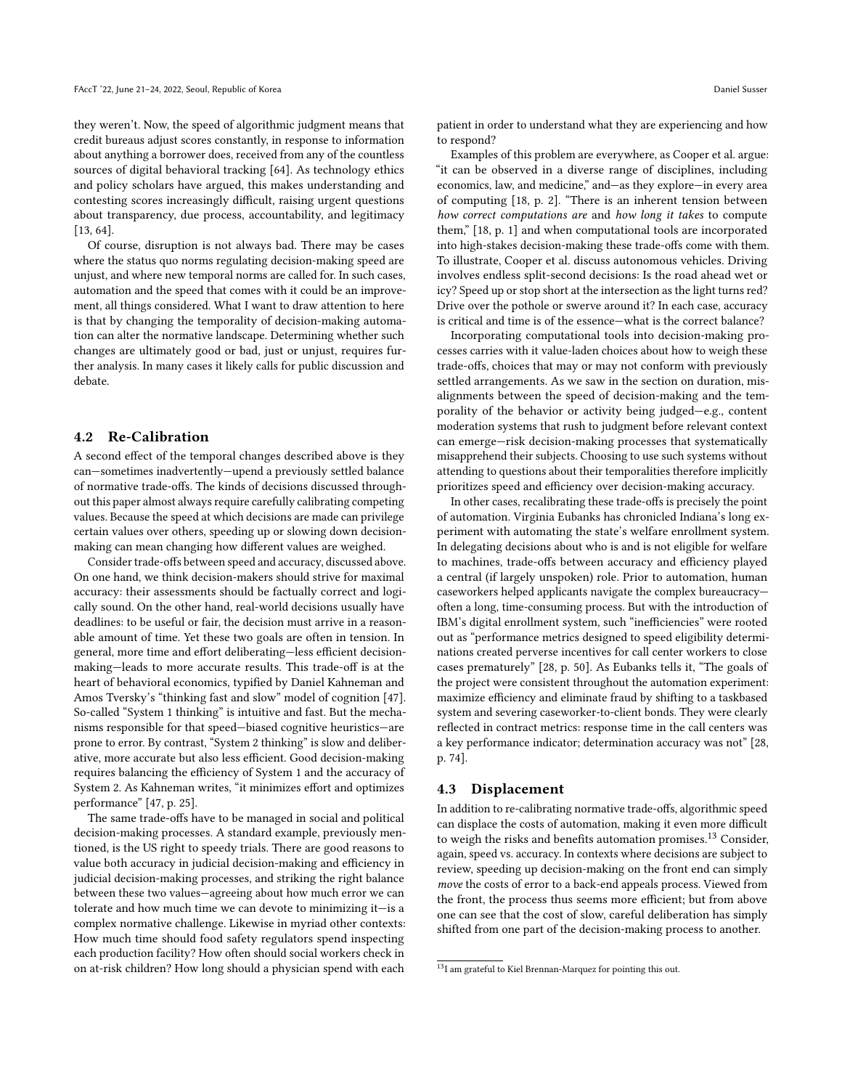they weren't. Now, the speed of algorithmic judgment means that credit bureaus adjust scores constantly, in response to information about anything a borrower does, received from any of the countless sources of digital behavioral tracking [\[64\]](#page-10-32). As technology ethics and policy scholars have argued, this makes understanding and contesting scores increasingly difficult, raising urgent questions about transparency, due process, accountability, and legitimacy [\[13,](#page-9-27) [64\]](#page-10-32).

Of course, disruption is not always bad. There may be cases where the status quo norms regulating decision-making speed are unjust, and where new temporal norms are called for. In such cases, automation and the speed that comes with it could be an improvement, all things considered. What I want to draw attention to here is that by changing the temporality of decision-making automation can alter the normative landscape. Determining whether such changes are ultimately good or bad, just or unjust, requires further analysis. In many cases it likely calls for public discussion and debate.

### 4.2 Re-Calibration

A second effect of the temporal changes described above is they can—sometimes inadvertently—upend a previously settled balance of normative trade-offs. The kinds of decisions discussed throughout this paper almost always require carefully calibrating competing values. Because the speed at which decisions are made can privilege certain values over others, speeding up or slowing down decisionmaking can mean changing how different values are weighed.

Consider trade-offs between speed and accuracy, discussed above. On one hand, we think decision-makers should strive for maximal accuracy: their assessments should be factually correct and logically sound. On the other hand, real-world decisions usually have deadlines: to be useful or fair, the decision must arrive in a reasonable amount of time. Yet these two goals are often in tension. In general, more time and effort deliberating—less efficient decisionmaking—leads to more accurate results. This trade-off is at the heart of behavioral economics, typified by Daniel Kahneman and Amos Tversky's "thinking fast and slow" model of cognition [\[47\]](#page-10-48). So-called "System 1 thinking" is intuitive and fast. But the mechanisms responsible for that speed—biased cognitive heuristics—are prone to error. By contrast, "System 2 thinking" is slow and deliberative, more accurate but also less efficient. Good decision-making requires balancing the efficiency of System 1 and the accuracy of System 2. As Kahneman writes, "it minimizes effort and optimizes performance" [\[47,](#page-10-48) p. 25].

The same trade-offs have to be managed in social and political decision-making processes. A standard example, previously mentioned, is the US right to speedy trials. There are good reasons to value both accuracy in judicial decision-making and efficiency in judicial decision-making processes, and striking the right balance between these two values—agreeing about how much error we can tolerate and how much time we can devote to minimizing it—is a complex normative challenge. Likewise in myriad other contexts: How much time should food safety regulators spend inspecting each production facility? How often should social workers check in on at-risk children? How long should a physician spend with each

patient in order to understand what they are experiencing and how to respond?

Examples of this problem are everywhere, as Cooper et al. argue: "it can be observed in a diverse range of disciplines, including economics, law, and medicine," and—as they explore—in every area of computing [\[18,](#page-9-34) p. 2]. "There is an inherent tension between how correct computations are and how long it takes to compute them," [\[18,](#page-9-34) p. 1] and when computational tools are incorporated into high-stakes decision-making these trade-offs come with them. To illustrate, Cooper et al. discuss autonomous vehicles. Driving involves endless split-second decisions: Is the road ahead wet or icy? Speed up or stop short at the intersection as the light turns red? Drive over the pothole or swerve around it? In each case, accuracy is critical and time is of the essence—what is the correct balance?

Incorporating computational tools into decision-making processes carries with it value-laden choices about how to weigh these trade-offs, choices that may or may not conform with previously settled arrangements. As we saw in the section on duration, misalignments between the speed of decision-making and the temporality of the behavior or activity being judged—e.g., content moderation systems that rush to judgment before relevant context can emerge—risk decision-making processes that systematically misapprehend their subjects. Choosing to use such systems without attending to questions about their temporalities therefore implicitly prioritizes speed and efficiency over decision-making accuracy.

In other cases, recalibrating these trade-offs is precisely the point of automation. Virginia Eubanks has chronicled Indiana's long experiment with automating the state's welfare enrollment system. In delegating decisions about who is and is not eligible for welfare to machines, trade-offs between accuracy and efficiency played a central (if largely unspoken) role. Prior to automation, human caseworkers helped applicants navigate the complex bureaucracy often a long, time-consuming process. But with the introduction of IBM's digital enrollment system, such "inefficiencies" were rooted out as "performance metrics designed to speed eligibility determinations created perverse incentives for call center workers to close cases prematurely" [\[28,](#page-9-26) p. 50]. As Eubanks tells it, "The goals of the project were consistent throughout the automation experiment: maximize efficiency and eliminate fraud by shifting to a taskbased system and severing caseworker-to-client bonds. They were clearly reflected in contract metrics: response time in the call centers was a key performance indicator; determination accuracy was not" [\[28,](#page-9-26) p. 74].

### 4.3 Displacement

In addition to re-calibrating normative trade-offs, algorithmic speed can displace the costs of automation, making it even more difficult to weigh the risks and benefits automation promises.[13](#page-7-0) Consider, again, speed vs. accuracy. In contexts where decisions are subject to review, speeding up decision-making on the front end can simply move the costs of error to a back-end appeals process. Viewed from the front, the process thus seems more efficient; but from above one can see that the cost of slow, careful deliberation has simply shifted from one part of the decision-making process to another.

<span id="page-7-0"></span><sup>13</sup>I am grateful to Kiel Brennan-Marquez for pointing this out.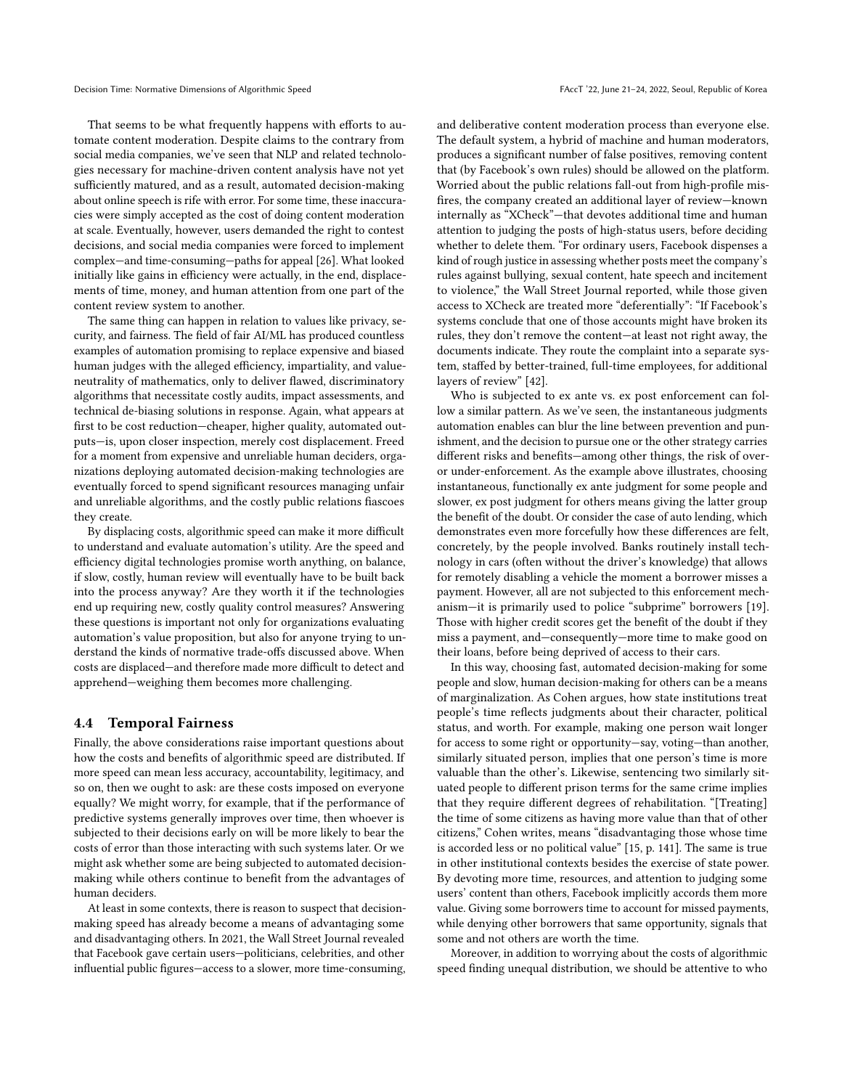That seems to be what frequently happens with efforts to automate content moderation. Despite claims to the contrary from social media companies, we've seen that NLP and related technologies necessary for machine-driven content analysis have not yet sufficiently matured, and as a result, automated decision-making about online speech is rife with error. For some time, these inaccuracies were simply accepted as the cost of doing content moderation at scale. Eventually, however, users demanded the right to contest decisions, and social media companies were forced to implement complex—and time-consuming—paths for appeal [\[26\]](#page-9-35). What looked initially like gains in efficiency were actually, in the end, displacements of time, money, and human attention from one part of the content review system to another.

The same thing can happen in relation to values like privacy, security, and fairness. The field of fair AI/ML has produced countless examples of automation promising to replace expensive and biased human judges with the alleged efficiency, impartiality, and valueneutrality of mathematics, only to deliver flawed, discriminatory algorithms that necessitate costly audits, impact assessments, and technical de-biasing solutions in response. Again, what appears at first to be cost reduction—cheaper, higher quality, automated outputs—is, upon closer inspection, merely cost displacement. Freed for a moment from expensive and unreliable human deciders, organizations deploying automated decision-making technologies are eventually forced to spend significant resources managing unfair and unreliable algorithms, and the costly public relations fiascoes they create.

By displacing costs, algorithmic speed can make it more difficult to understand and evaluate automation's utility. Are the speed and efficiency digital technologies promise worth anything, on balance, if slow, costly, human review will eventually have to be built back into the process anyway? Are they worth it if the technologies end up requiring new, costly quality control measures? Answering these questions is important not only for organizations evaluating automation's value proposition, but also for anyone trying to understand the kinds of normative trade-offs discussed above. When costs are displaced—and therefore made more difficult to detect and apprehend—weighing them becomes more challenging.

### 4.4 Temporal Fairness

Finally, the above considerations raise important questions about how the costs and benefits of algorithmic speed are distributed. If more speed can mean less accuracy, accountability, legitimacy, and so on, then we ought to ask: are these costs imposed on everyone equally? We might worry, for example, that if the performance of predictive systems generally improves over time, then whoever is subjected to their decisions early on will be more likely to bear the costs of error than those interacting with such systems later. Or we might ask whether some are being subjected to automated decisionmaking while others continue to benefit from the advantages of human deciders.

At least in some contexts, there is reason to suspect that decisionmaking speed has already become a means of advantaging some and disadvantaging others. In 2021, the Wall Street Journal revealed that Facebook gave certain users—politicians, celebrities, and other influential public figures—access to a slower, more time-consuming,

and deliberative content moderation process than everyone else. The default system, a hybrid of machine and human moderators, produces a significant number of false positives, removing content that (by Facebook's own rules) should be allowed on the platform. Worried about the public relations fall-out from high-profile misfires, the company created an additional layer of review—known internally as "XCheck"—that devotes additional time and human attention to judging the posts of high-status users, before deciding whether to delete them. "For ordinary users, Facebook dispenses a kind of rough justice in assessing whether posts meet the company's rules against bullying, sexual content, hate speech and incitement to violence," the Wall Street Journal reported, while those given access to XCheck are treated more "deferentially": "If Facebook's systems conclude that one of those accounts might have broken its rules, they don't remove the content—at least not right away, the documents indicate. They route the complaint into a separate system, staffed by better-trained, full-time employees, for additional layers of review" [\[42\]](#page-10-49).

Who is subjected to ex ante vs. ex post enforcement can follow a similar pattern. As we've seen, the instantaneous judgments automation enables can blur the line between prevention and punishment, and the decision to pursue one or the other strategy carries different risks and benefits—among other things, the risk of overor under-enforcement. As the example above illustrates, choosing instantaneous, functionally ex ante judgment for some people and slower, ex post judgment for others means giving the latter group the benefit of the doubt. Or consider the case of auto lending, which demonstrates even more forcefully how these differences are felt, concretely, by the people involved. Banks routinely install technology in cars (often without the driver's knowledge) that allows for remotely disabling a vehicle the moment a borrower misses a payment. However, all are not subjected to this enforcement mechanism—it is primarily used to police "subprime" borrowers [\[19\]](#page-9-36). Those with higher credit scores get the benefit of the doubt if they miss a payment, and—consequently—more time to make good on their loans, before being deprived of access to their cars.

In this way, choosing fast, automated decision-making for some people and slow, human decision-making for others can be a means of marginalization. As Cohen argues, how state institutions treat people's time reflects judgments about their character, political status, and worth. For example, making one person wait longer for access to some right or opportunity—say, voting—than another, similarly situated person, implies that one person's time is more valuable than the other's. Likewise, sentencing two similarly situated people to different prison terms for the same crime implies that they require different degrees of rehabilitation. "[Treating] the time of some citizens as having more value than that of other citizens," Cohen writes, means "disadvantaging those whose time is accorded less or no political value" [\[15,](#page-9-8) p. 141]. The same is true in other institutional contexts besides the exercise of state power. By devoting more time, resources, and attention to judging some users' content than others, Facebook implicitly accords them more value. Giving some borrowers time to account for missed payments, while denying other borrowers that same opportunity, signals that some and not others are worth the time.

Moreover, in addition to worrying about the costs of algorithmic speed finding unequal distribution, we should be attentive to who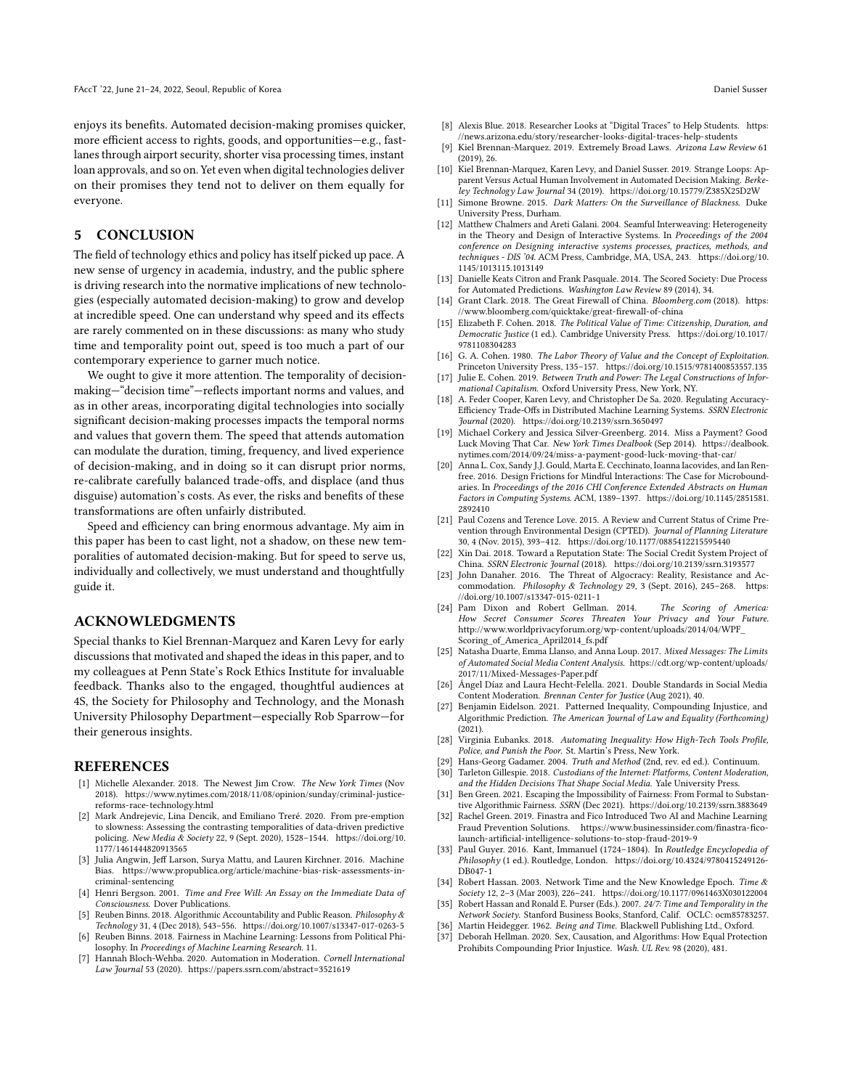enjoys its benefits. Automated decision-making promises quicker, more efficient access to rights, goods, and opportunities—e.g., fastlanes through airport security, shorter visa processing times, instant loan approvals, and so on. Yet even when digital technologies deliver on their promises they tend not to deliver on them equally for everyone.

# 5 CONCLUSION

The field of technology ethics and policy has itself picked up pace. A new sense of urgency in academia, industry, and the public sphere is driving research into the normative implications of new technologies (especially automated decision-making) to grow and develop at incredible speed. One can understand why speed and its effects are rarely commented on in these discussions: as many who study time and temporality point out, speed is too much a part of our contemporary experience to garner much notice.

We ought to give it more attention. The temporality of decisionmaking—"decision time"—reflects important norms and values, and as in other areas, incorporating digital technologies into socially significant decision-making processes impacts the temporal norms and values that govern them. The speed that attends automation can modulate the duration, timing, frequency, and lived experience of decision-making, and in doing so it can disrupt prior norms, re-calibrate carefully balanced trade-offs, and displace (and thus disguise) automation's costs. As ever, the risks and benefits of these transformations are often unfairly distributed.

Speed and efficiency can bring enormous advantage. My aim in this paper has been to cast light, not a shadow, on these new temporalities of automated decision-making. But for speed to serve us, individually and collectively, we must understand and thoughtfully guide it.

## ACKNOWLEDGMENTS

Special thanks to Kiel Brennan-Marquez and Karen Levy for early discussions that motivated and shaped the ideas in this paper, and to my colleagues at Penn State's Rock Ethics Institute for invaluable feedback. Thanks also to the engaged, thoughtful audiences at 4S, the Society for Philosophy and Technology, and the Monash University Philosophy Department—especially Rob Sparrow—for their generous insights.

#### REFERENCES

- <span id="page-9-24"></span>[1] Michelle Alexander. 2018. The Newest Jim Crow. The New York Times (Nov 2018). [https://www.nytimes.com/2018/11/08/opinion/sunday/criminal-justice](https://www.nytimes.com/2018/11/08/opinion/sunday/criminal-justice-reforms-race-technology.html)[reforms-race-technology.html](https://www.nytimes.com/2018/11/08/opinion/sunday/criminal-justice-reforms-race-technology.html)
- <span id="page-9-13"></span>[2] Mark Andrejevic, Lina Dencik, and Emiliano Treré. 2020. From pre-emption to slowness: Assessing the contrasting temporalities of data-driven predictive policing. New Media & Society 22, 9 (Sept. 2020), 1528-1544. [https://doi.org/10.](https://doi.org/10.1177/1461444820913565) [1177/1461444820913565](https://doi.org/10.1177/1461444820913565)
- <span id="page-9-14"></span>[3] Julia Angwin, Jeff Larson, Surva Mattu, and Lauren Kirchner, 2016. Machine Bias. [https://www.propublica.org/article/machine-bias-risk-assessments-in](https://www.propublica.org/article/machine-bias-risk-assessments-in-criminal-sentencing)[criminal-sentencing](https://www.propublica.org/article/machine-bias-risk-assessments-in-criminal-sentencing)
- <span id="page-9-6"></span>[4] Henri Bergson. 2001. Time and Free Will: An Essay on the Immediate Data of Consciousness. Dover Publications.
- <span id="page-9-33"></span>[5] Reuben Binns. 2018. Algorithmic Accountability and Public Reason. Philosophy & Technology 31, 4 (Dec 2018), 543–556.<https://doi.org/10.1007/s13347-017-0263-5>
- <span id="page-9-0"></span>[6] Reuben Binns. 2018. Fairness in Machine Learning: Lessons from Political Philosophy. In Proceedings of Machine Learning Research. 11.
- <span id="page-9-15"></span>[7] Hannah Bloch-Wehba. 2020. Automation in Moderation. Cornell International Law Journal 53 (2020).<https://papers.ssrn.com/abstract=3521619>
- <span id="page-9-25"></span>[8] Alexis Blue. 2018. Researcher Looks at "Digital Traces" to Help Students. [https:](https://news.arizona.edu/story/researcher-looks-digital-traces-help-students) [//news.arizona.edu/story/researcher-looks-digital-traces-help-students](https://news.arizona.edu/story/researcher-looks-digital-traces-help-students)
- <span id="page-9-30"></span>[9] Kiel Brennan-Marquez. 2019. Extremely Broad Laws. Arizona Law Review 61 (2019), 26.
- <span id="page-9-16"></span>[10] Kiel Brennan-Marquez, Karen Levy, and Daniel Susser. 2019. Strange Loops: Apparent Versus Actual Human Involvement in Automated Decision Making. Berkeley Technology Law Journal 34 (2019).<https://doi.org/10.15779/Z385X25D2W>
- <span id="page-9-29"></span>[11] Simone Browne. 2015. Dark Matters: On the Surveillance of Blackness. Duke University Press, Durham.
- <span id="page-9-3"></span>[12] Matthew Chalmers and Areti Galani. 2004. Seamful Interweaving: Heterogeneity in the Theory and Design of Interactive Systems. In Proceedings of the 2004 conference on Designing interactive systems processes, practices, methods, and techniques - DIS '04. ACM Press, Cambridge, MA, USA, 243. [https://doi.org/10.](https://doi.org/10.1145/1013115.1013149) [1145/1013115.1013149](https://doi.org/10.1145/1013115.1013149)
- <span id="page-9-27"></span>[13] Danielle Keats Citron and Frank Pasquale. 2014. The Scored Society: Due Process for Automated Predictions. Washington Law Review 89 (2014), 34.
- <span id="page-9-22"></span>[14] Grant Clark. 2018. The Great Firewall of China. Bloomberg.com (2018). [https:](https://www.bloomberg.com/quicktake/great-firewall-of-china) [//www.bloomberg.com/quicktake/great-firewall-of-china](https://www.bloomberg.com/quicktake/great-firewall-of-china)
- <span id="page-9-8"></span>[15] Elizabeth F. Cohen. 2018. The Political Value of Time: Citizenship, Duration, and Democratic Justice (1 ed.). Cambridge University Press. [https://doi.org/10.1017/](https://doi.org/10.1017/9781108304283) [9781108304283](https://doi.org/10.1017/9781108304283)
- <span id="page-9-5"></span>[16] G. A. Cohen. 1980. The Labor Theory of Value and the Concept of Exploitation. Princeton University Press, 135–157.<https://doi.org/10.1515/9781400853557.135>
- <span id="page-9-17"></span>[17] Julie E. Cohen. 2019. Between Truth and Power: The Legal Constructions of Informational Capitalism. Oxford University Press, New York, NY.
- <span id="page-9-34"></span>[18] A. Feder Cooper, Karen Levy, and Christopher De Sa. 2020. Regulating Accuracy-Efficiency Trade-Offs in Distributed Machine Learning Systems. SSRN Electronic Journal (2020).<https://doi.org/10.2139/ssrn.3650497>
- <span id="page-9-36"></span>[19] Michael Corkery and Jessica Silver-Greenberg. 2014. Miss a Payment? Good Luck Moving That Car. New York Times Dealbook (Sep 2014). [https://dealbook.](https://dealbook.nytimes.com/2014/09/24/miss-a-payment-good-luck-moving-that-car/) [nytimes.com/2014/09/24/miss-a-payment-good-luck-moving-that-car/](https://dealbook.nytimes.com/2014/09/24/miss-a-payment-good-luck-moving-that-car/)
- <span id="page-9-2"></span>[20] Anna L. Cox, Sandy J.J. Gould, Marta E. Cecchinato, Ioanna Iacovides, and Ian Renfree. 2016. Design Frictions for Mindful Interactions: The Case for Microboundaries. In Proceedings of the 2016 CHI Conference Extended Abstracts on Human Factors in Computing Systems. ACM, 1389–1397. [https://doi.org/10.1145/2851581.](https://doi.org/10.1145/2851581.2892410) [2892410](https://doi.org/10.1145/2851581.2892410)
- <span id="page-9-21"></span>[21] Paul Cozens and Terence Love. 2015. A Review and Current Status of Crime Prevention through Environmental Design (CPTED). Journal of Planning Literature 30, 4 (Nov. 2015), 393–412.<https://doi.org/10.1177/0885412215595440>
- <span id="page-9-31"></span>[22] Xin Dai. 2018. Toward a Reputation State: The Social Credit System Project of China. SSRN Electronic Journal (2018).<https://doi.org/10.2139/ssrn.3193577>
- <span id="page-9-32"></span>[23] John Danaher. 2016. The Threat of Algocracy: Reality, Resistance and Accommodation. Philosophy & Technology 29, 3 (Sept. 2016), 245–268. [https:](https://doi.org/10.1007/s13347-015-0211-1) [//doi.org/10.1007/s13347-015-0211-1](https://doi.org/10.1007/s13347-015-0211-1)
- <span id="page-9-28"></span>[24] Pam Dixon and Robert Gellman. 2014. The Scoring of America: How Secret Consumer Scores Threaten Your Privacy and Your Future. [http://www.worldprivacyforum.org/wp-content/uploads/2014/04/WPF\\_](http://www.worldprivacyforum.org/wp-content/uploads/2014/04/WPF_Scoring_of_America_April2014_fs.pdf) [Scoring\\_of\\_America\\_April2014\\_fs.pdf](http://www.worldprivacyforum.org/wp-content/uploads/2014/04/WPF_Scoring_of_America_April2014_fs.pdf)
- <span id="page-9-19"></span>[25] Natasha Duarte, Emma Llanso, and Anna Loup. 2017. Mixed Messages: The Limits of Automated Social Media Content Analysis. [https://cdt.org/wp-content/uploads/](https://cdt.org/wp-content/uploads/2017/11/Mixed-Messages-Paper.pdf) [2017/11/Mixed-Messages-Paper.pdf](https://cdt.org/wp-content/uploads/2017/11/Mixed-Messages-Paper.pdf)
- <span id="page-9-35"></span>[26] Ángel Díaz and Laura Hecht-Felella. 2021. Double Standards in Social Media Content Moderation. Brennan Center for Justice (Aug 2021), 40.
- <span id="page-9-11"></span>[27] Benjamin Eidelson. 2021. Patterned Inequality, Compounding Injustice, and Algorithmic Prediction. The American Journal of Law and Equality (Forthcoming) (2021).
- <span id="page-9-26"></span>[28] Virginia Eubanks. 2018. Automating Inequality: How High-Tech Tools Profile, Police, and Punish the Poor. St. Martin's Press, New York.
- <span id="page-9-20"></span>[29] Hans-Georg Gadamer. 2004. Truth and Method (2nd, rev. ed ed.). Continuum.
- <span id="page-9-18"></span>[30] Tarleton Gillespie. 2018. Custodians of the Internet: Platforms, Content Moderation, and the Hidden Decisions That Shape Social Media. Yale University Press.
- <span id="page-9-1"></span>[31] Ben Green. 2021. Escaping the Impossibility of Fairness: From Formal to Substantive Algorithmic Fairness. SSRN (Dec 2021).<https://doi.org/10.2139/ssrn.3883649>
- <span id="page-9-23"></span>[32] Rachel Green. 2019. Finastra and Fico Introduced Two AI and Machine Learning Fraud Prevention Solutions. [https://www.businessinsider.com/finastra-fico](https://www.businessinsider.com/finastra-fico-launch-artificial-intelligence-solutions-to-stop-fraud-2019-9)[launch-artificial-intelligence-solutions-to-stop-fraud-2019-9](https://www.businessinsider.com/finastra-fico-launch-artificial-intelligence-solutions-to-stop-fraud-2019-9)
- <span id="page-9-4"></span>[33] Paul Guyer. 2016. Kant, Immanuel (1724-1804). In Routledge Encyclopedia of Philosophy (1 ed.). Routledge, London. [https://doi.org/10.4324/9780415249126-](https://doi.org/10.4324/9780415249126-DB047-1) [DB047-1](https://doi.org/10.4324/9780415249126-DB047-1)
- <span id="page-9-9"></span>[34] Robert Hassan. 2003. Network Time and the New Knowledge Epoch. Time & Society 12, 2–3 (Mar 2003), 226–241.<https://doi.org/10.1177/0961463X030122004>
- <span id="page-9-10"></span>[35] Robert Hassan and Ronald E. Purser (Eds.). 2007. 24/7: Time and Temporality in the Network Society. Stanford Business Books, Stanford, Calif. OCLC: ocm85783257.
- <span id="page-9-12"></span><span id="page-9-7"></span>[36] Martin Heidegger. 1962. Being and Time. Blackwell Publishing Ltd., Oxford. [37] Deborah Hellman. 2020. Sex, Causation, and Algorithms: How Equal Protection
- Prohibits Compounding Prior Injustice. Wash. UL Rev. 98 (2020), 481.